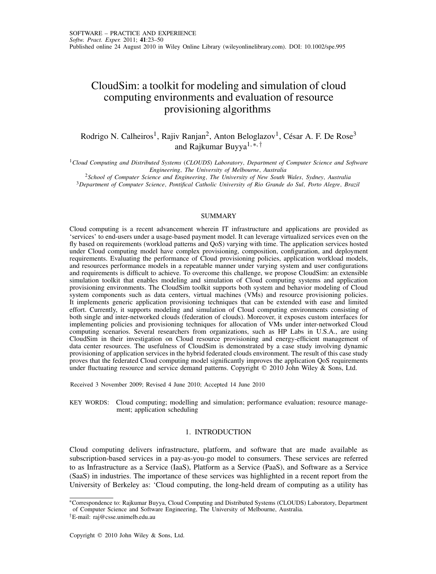# CloudSim: a toolkit for modeling and simulation of cloud computing environments and evaluation of resource provisioning algorithms

Rodrigo N. Calheiros<sup>1</sup>, Rajiv Ranjan<sup>2</sup>, Anton Beloglazov<sup>1</sup>, César A. F. De Rose<sup>3</sup> and Rajkumar Buyya1*,*∗*,†*

<sup>1</sup>*Cloud Computing and Distributed Systems (CLOUDS) Laboratory, Department of Computer Science and Software*

 $3$  School of Computer Science and Engineering, The University of New South Wales, Sydney, Australia<br> $3$  Department of Computer Science, Pontifical Catholic University of Rio Grande do Sul, Porto Alegre, Brazil

## SUMMARY

Cloud computing is a recent advancement wherein IT infrastructure and applications are provided as 'services' to end-users under a usage-based payment model. It can leverage virtualized services even on the fly based on requirements (workload patterns and QoS) varying with time. The application services hosted under Cloud computing model have complex provisioning, composition, configuration, and deployment requirements. Evaluating the performance of Cloud provisioning policies, application workload models, and resources performance models in a repeatable manner under varying system and user configurations and requirements is difficult to achieve. To overcome this challenge, we propose CloudSim: an extensible simulation toolkit that enables modeling and simulation of Cloud computing systems and application provisioning environments. The CloudSim toolkit supports both system and behavior modeling of Cloud system components such as data centers, virtual machines (VMs) and resource provisioning policies. It implements generic application provisioning techniques that can be extended with ease and limited effort. Currently, it supports modeling and simulation of Cloud computing environments consisting of both single and inter-networked clouds (federation of clouds). Moreover, it exposes custom interfaces for implementing policies and provisioning techniques for allocation of VMs under inter-networked Cloud computing scenarios. Several researchers from organizations, such as HP Labs in U.S.A., are using CloudSim in their investigation on Cloud resource provisioning and energy-efficient management of data center resources. The usefulness of CloudSim is demonstrated by a case study involving dynamic provisioning of application services in the hybrid federated clouds environment. The result of this case study proves that the federated Cloud computing model significantly improves the application QoS requirements under fluctuating resource and service demand patterns. Copyright  $\odot$  2010 John Wiley & Sons, Ltd.

Received 3 November 2009; Revised 4 June 2010; Accepted 14 June 2010

KEY WORDS: Cloud computing; modelling and simulation; performance evaluation; resource management; application scheduling

## 1. INTRODUCTION

Cloud computing delivers infrastructure, platform, and software that are made available as subscription-based services in a pay-as-you-go model to consumers. These services are referred to as Infrastructure as a Service (IaaS), Platform as a Service (PaaS), and Software as a Service (SaaS) in industries. The importance of these services was highlighted in a recent report from the University of Berkeley as: 'Cloud computing, the long-held dream of computing as a utility has

<sup>∗</sup>Correspondence to: Rajkumar Buyya, Cloud Computing and Distributed Systems (CLOUDS) Laboratory, Department of Computer Science and Software Engineering, The University of Melbourne, Australia.

*<sup>†</sup>*E-mail: raj@csse.unimelb.edu.au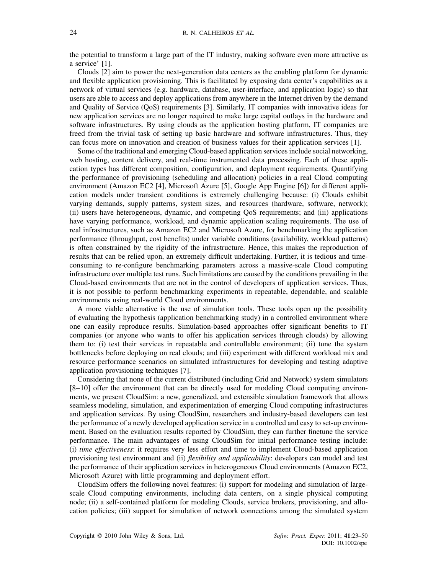the potential to transform a large part of the IT industry, making software even more attractive as a service' [1].

Clouds [2] aim to power the next-generation data centers as the enabling platform for dynamic and flexible application provisioning. This is facilitated by exposing data center's capabilities as a network of virtual services (e.g. hardware, database, user-interface, and application logic) so that users are able to access and deploy applications from anywhere in the Internet driven by the demand and Quality of Service (QoS) requirements [3]. Similarly, IT companies with innovative ideas for new application services are no longer required to make large capital outlays in the hardware and software infrastructures. By using clouds as the application hosting platform, IT companies are freed from the trivial task of setting up basic hardware and software infrastructures. Thus, they can focus more on innovation and creation of business values for their application services [1].

Some of the traditional and emerging Cloud-based application services include social networking, web hosting, content delivery, and real-time instrumented data processing. Each of these application types has different composition, configuration, and deployment requirements. Quantifying the performance of provisioning (scheduling and allocation) policies in a real Cloud computing environment (Amazon EC2 [4], Microsoft Azure [5], Google App Engine [6]) for different application models under transient conditions is extremely challenging because: (i) Clouds exhibit varying demands, supply patterns, system sizes, and resources (hardware, software, network); (ii) users have heterogeneous, dynamic, and competing QoS requirements; and (iii) applications have varying performance, workload, and dynamic application scaling requirements. The use of real infrastructures, such as Amazon EC2 and Microsoft Azure, for benchmarking the application performance (throughput, cost benefits) under variable conditions (availability, workload patterns) is often constrained by the rigidity of the infrastructure. Hence, this makes the reproduction of results that can be relied upon, an extremely difficult undertaking. Further, it is tedious and timeconsuming to re-configure benchmarking parameters across a massive-scale Cloud computing infrastructure over multiple test runs. Such limitations are caused by the conditions prevailing in the Cloud-based environments that are not in the control of developers of application services. Thus, it is not possible to perform benchmarking experiments in repeatable, dependable, and scalable environments using real-world Cloud environments.

A more viable alternative is the use of simulation tools. These tools open up the possibility of evaluating the hypothesis (application benchmarking study) in a controlled environment where one can easily reproduce results. Simulation-based approaches offer significant benefits to IT companies (or anyone who wants to offer his application services through clouds) by allowing them to: (i) test their services in repeatable and controllable environment; (ii) tune the system bottlenecks before deploying on real clouds; and (iii) experiment with different workload mix and resource performance scenarios on simulated infrastructures for developing and testing adaptive application provisioning techniques [7].

Considering that none of the current distributed (including Grid and Network) system simulators [8–10] offer the environment that can be directly used for modeling Cloud computing environments, we present CloudSim: a new, generalized, and extensible simulation framework that allows seamless modeling, simulation, and experimentation of emerging Cloud computing infrastructures and application services. By using CloudSim, researchers and industry-based developers can test the performance of a newly developed application service in a controlled and easy to set-up environment. Based on the evaluation results reported by CloudSim, they can further finetune the service performance. The main advantages of using CloudSim for initial performance testing include: (i) *time effectiveness*: it requires very less effort and time to implement Cloud-based application provisioning test environment and (ii) *flexibility and applicability*: developers can model and test the performance of their application services in heterogeneous Cloud environments (Amazon EC2, Microsoft Azure) with little programming and deployment effort.

CloudSim offers the following novel features: (i) support for modeling and simulation of largescale Cloud computing environments, including data centers, on a single physical computing node; (ii) a self-contained platform for modeling Clouds, service brokers, provisioning, and allocation policies; (iii) support for simulation of network connections among the simulated system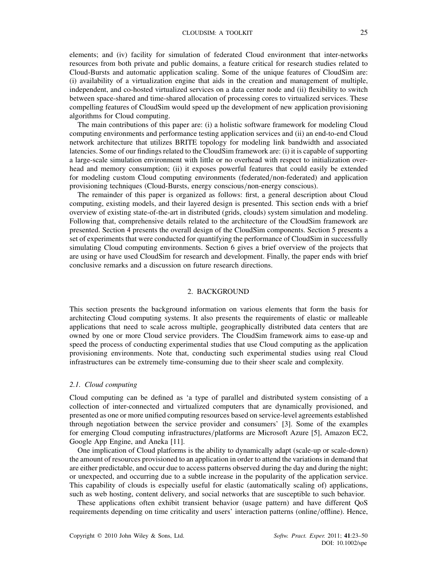elements; and (iv) facility for simulation of federated Cloud environment that inter-networks resources from both private and public domains, a feature critical for research studies related to Cloud-Bursts and automatic application scaling. Some of the unique features of CloudSim are: (i) availability of a virtualization engine that aids in the creation and management of multiple, independent, and co-hosted virtualized services on a data center node and (ii) flexibility to switch between space-shared and time-shared allocation of processing cores to virtualized services. These compelling features of CloudSim would speed up the development of new application provisioning algorithms for Cloud computing.

The main contributions of this paper are: (i) a holistic software framework for modeling Cloud computing environments and performance testing application services and (ii) an end-to-end Cloud network architecture that utilizes BRITE topology for modeling link bandwidth and associated latencies. Some of our findings related to the CloudSim framework are: (i) it is capable of supporting a large-scale simulation environment with little or no overhead with respect to initialization overhead and memory consumption; (ii) it exposes powerful features that could easily be extended for modeling custom Cloud computing environments (federated*/*non-federated) and application provisioning techniques (Cloud-Bursts, energy conscious*/*non-energy conscious).

The remainder of this paper is organized as follows: first, a general description about Cloud computing, existing models, and their layered design is presented. This section ends with a brief overview of existing state-of-the-art in distributed (grids, clouds) system simulation and modeling. Following that, comprehensive details related to the architecture of the CloudSim framework are presented. Section 4 presents the overall design of the CloudSim components. Section 5 presents a set of experiments that were conducted for quantifying the performance of CloudSim in successfully simulating Cloud computing environments. Section 6 gives a brief overview of the projects that are using or have used CloudSim for research and development. Finally, the paper ends with brief conclusive remarks and a discussion on future research directions.

# 2. BACKGROUND

This section presents the background information on various elements that form the basis for architecting Cloud computing systems. It also presents the requirements of elastic or malleable applications that need to scale across multiple, geographically distributed data centers that are owned by one or more Cloud service providers. The CloudSim framework aims to ease-up and speed the process of conducting experimental studies that use Cloud computing as the application provisioning environments. Note that, conducting such experimental studies using real Cloud infrastructures can be extremely time-consuming due to their sheer scale and complexity.

## *2.1. Cloud computing*

Cloud computing can be defined as 'a type of parallel and distributed system consisting of a collection of inter-connected and virtualized computers that are dynamically provisioned, and presented as one or more unified computing resources based on service-level agreements established through negotiation between the service provider and consumers' [3]. Some of the examples for emerging Cloud computing infrastructures*/*platforms are Microsoft Azure [5], Amazon EC2, Google App Engine, and Aneka [11].

One implication of Cloud platforms is the ability to dynamically adapt (scale-up or scale-down) the amount of resources provisioned to an application in order to attend the variations in demand that are either predictable, and occur due to access patterns observed during the day and during the night; or unexpected, and occurring due to a subtle increase in the popularity of the application service. This capability of clouds is especially useful for elastic (automatically scaling of) applications, such as web hosting, content delivery, and social networks that are susceptible to such behavior.

These applications often exhibit transient behavior (usage pattern) and have different QoS requirements depending on time criticality and users' interaction patterns (online*/*offline). Hence,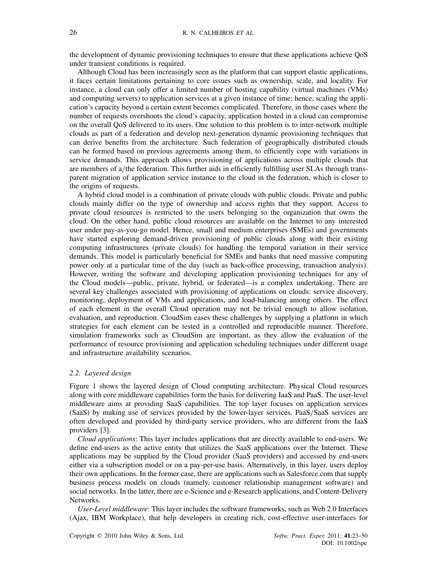the development of dynamic provisioning techniques to ensure that these applications achieve QoS under transient conditions is required.

Although Cloud has been increasingly seen as the platform that can support elastic applications, it faces certain limitations pertaining to core issues such as ownership, scale, and locality. For instance, a cloud can only offer a limited number of hosting capability (virtual machines (VMs) and computing servers) to application services at a given instance of time; hence, scaling the application's capacity beyond a certain extent becomes complicated. Therefore, in those cases where the number of requests overshoots the cloud's capacity, application hosted in a cloud can compromise on the overall QoS delivered to its users. One solution to this problem is to inter-network multiple clouds as part of a federation and develop next-generation dynamic provisioning techniques that can derive benefits from the architecture. Such federation of geographically distributed clouds can be formed based on previous agreements among them, to efficiently cope with variations in service demands. This approach allows provisioning of applications across multiple clouds that are members of a*/*the federation. This further aids in efficiently fulfilling user SLAs through transparent migration of application service instance to the cloud in the federation, which is closer to the origins of requests.

A hybrid cloud model is a combination of private clouds with public clouds. Private and public clouds mainly differ on the type of ownership and access rights that they support. Access to private cloud resources is restricted to the users belonging to the organization that owns the cloud. On the other hand, public cloud resources are available on the Internet to any interested user under pay-as-you-go model. Hence, small and medium enterprises (SMEs) and governments have started exploring demand-driven provisioning of public clouds along with their existing computing infrastructures (private clouds) for handling the temporal variation in their service demands. This model is particularly beneficial for SMEs and banks that need massive computing power only at a particular time of the day (such as back-office processing, transaction analysis). However, writing the software and developing application provisioning techniques for any of the Cloud models—public, private, hybrid, or federated—is a complex undertaking. There are several key challenges associated with provisioning of applications on clouds: service discovery, monitoring, deployment of VMs and applications, and load-balancing among others. The effect of each element in the overall Cloud operation may not be trivial enough to allow isolation, evaluation, and reproduction. CloudSim eases these challenges by supplying a platform in which strategies for each element can be tested in a controlled and reproducible manner. Therefore, simulation frameworks such as CloudSim are important, as they allow the evaluation of the performance of resource provisioning and application scheduling techniques under different usage and infrastructure availability scenarios.

## *2.2. Layered design*

Figure 1 shows the layered design of Cloud computing architecture. Physical Cloud resources along with core middleware capabilities form the basis for delivering IaaS and PaaS. The user-level middleware aims at providing SaaS capabilities. The top layer focuses on application services (SaaS) by making use of services provided by the lower-layer services. PaaS*/*SaaS services are often developed and provided by third-party service providers, who are different from the IaaS providers [3].

*Cloud applications*: This layer includes applications that are directly available to end-users. We define end-users as the active entity that utilizes the SaaS applications over the Internet. These applications may be supplied by the Cloud provider (SaaS providers) and accessed by end-users either via a subscription model or on a pay-per-use basis. Alternatively, in this layer, users deploy their own applications. In the former case, there are applications such as Salesforce.com that supply business process models on clouds (namely, customer relationship management software) and social networks. In the latter, there are e-Science and e-Research applications, and Content-Delivery Networks.

*User-Level middleware*: This layer includes the software frameworks, such as Web 2.0 Interfaces (Ajax, IBM Workplace), that help developers in creating rich, cost-effective user-interfaces for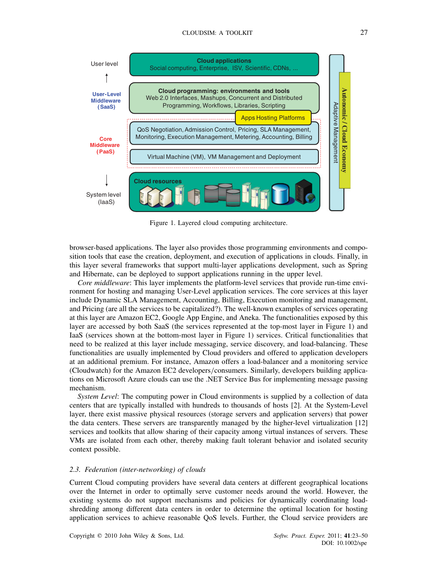

Figure 1. Layered cloud computing architecture.

browser-based applications. The layer also provides those programming environments and composition tools that ease the creation, deployment, and execution of applications in clouds. Finally, in this layer several frameworks that support multi-layer applications development, such as Spring and Hibernate, can be deployed to support applications running in the upper level.

*Core middleware*: This layer implements the platform-level services that provide run-time environment for hosting and managing User-Level application services. The core services at this layer include Dynamic SLA Management, Accounting, Billing, Execution monitoring and management, and Pricing (are all the services to be capitalized?). The well-known examples of services operating at this layer are Amazon EC2, Google App Engine, and Aneka. The functionalities exposed by this layer are accessed by both SaaS (the services represented at the top-most layer in Figure 1) and IaaS (services shown at the bottom-most layer in Figure 1) services. Critical functionalities that need to be realized at this layer include messaging, service discovery, and load-balancing. These functionalities are usually implemented by Cloud providers and offered to application developers at an additional premium. For instance, Amazon offers a load-balancer and a monitoring service (Cloudwatch) for the Amazon EC2 developers*/*consumers. Similarly, developers building applications on Microsoft Azure clouds can use the .NET Service Bus for implementing message passing mechanism.

*System Level*: The computing power in Cloud environments is supplied by a collection of data centers that are typically installed with hundreds to thousands of hosts [2]. At the System-Level layer, there exist massive physical resources (storage servers and application servers) that power the data centers. These servers are transparently managed by the higher-level virtualization [12] services and toolkits that allow sharing of their capacity among virtual instances of servers. These VMs are isolated from each other, thereby making fault tolerant behavior and isolated security context possible.

## *2.3. Federation (inter-networking) of clouds*

Current Cloud computing providers have several data centers at different geographical locations over the Internet in order to optimally serve customer needs around the world. However, the existing systems do not support mechanisms and policies for dynamically coordinating loadshredding among different data centers in order to determine the optimal location for hosting application services to achieve reasonable QoS levels. Further, the Cloud service providers are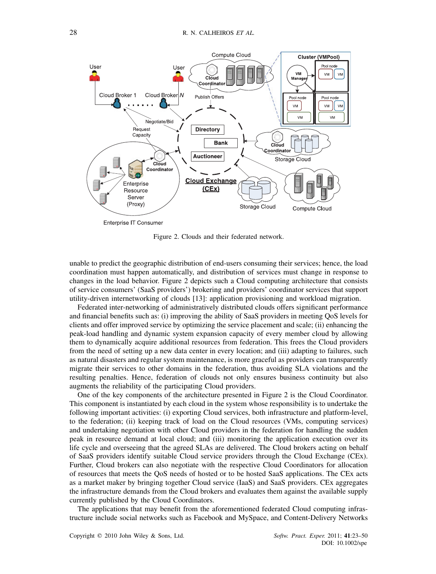

Figure 2. Clouds and their federated network.

unable to predict the geographic distribution of end-users consuming their services; hence, the load coordination must happen automatically, and distribution of services must change in response to changes in the load behavior. Figure 2 depicts such a Cloud computing architecture that consists of service consumers' (SaaS providers') brokering and providers' coordinator services that support utility-driven internetworking of clouds [13]: application provisioning and workload migration.

Federated inter-networking of administratively distributed clouds offers significant performance and financial benefits such as: (i) improving the ability of SaaS providers in meeting QoS levels for clients and offer improved service by optimizing the service placement and scale; (ii) enhancing the peak-load handling and dynamic system expansion capacity of every member cloud by allowing them to dynamically acquire additional resources from federation. This frees the Cloud providers from the need of setting up a new data center in every location; and (iii) adapting to failures, such as natural disasters and regular system maintenance, is more graceful as providers can transparently migrate their services to other domains in the federation, thus avoiding SLA violations and the resulting penalties. Hence, federation of clouds not only ensures business continuity but also augments the reliability of the participating Cloud providers.

One of the key components of the architecture presented in Figure 2 is the Cloud Coordinator. This component is instantiated by each cloud in the system whose responsibility is to undertake the following important activities: (i) exporting Cloud services, both infrastructure and platform-level, to the federation; (ii) keeping track of load on the Cloud resources (VMs, computing services) and undertaking negotiation with other Cloud providers in the federation for handling the sudden peak in resource demand at local cloud; and (iii) monitoring the application execution over its life cycle and overseeing that the agreed SLAs are delivered. The Cloud brokers acting on behalf of SaaS providers identify suitable Cloud service providers through the Cloud Exchange (CEx). Further, Cloud brokers can also negotiate with the respective Cloud Coordinators for allocation of resources that meets the QoS needs of hosted or to be hosted SaaS applications. The CEx acts as a market maker by bringing together Cloud service (IaaS) and SaaS providers. CEx aggregates the infrastructure demands from the Cloud brokers and evaluates them against the available supply currently published by the Cloud Coordinators.

The applications that may benefit from the aforementioned federated Cloud computing infrastructure include social networks such as Facebook and MySpace, and Content-Delivery Networks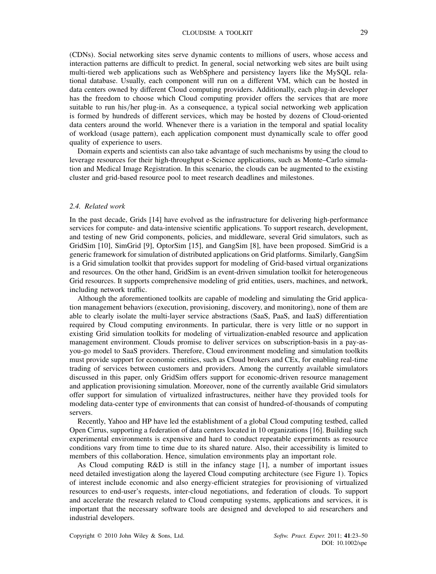(CDNs). Social networking sites serve dynamic contents to millions of users, whose access and interaction patterns are difficult to predict. In general, social networking web sites are built using multi-tiered web applications such as WebSphere and persistency layers like the MySQL relational database. Usually, each component will run on a different VM, which can be hosted in data centers owned by different Cloud computing providers. Additionally, each plug-in developer has the freedom to choose which Cloud computing provider offers the services that are more suitable to run his*/*her plug-in. As a consequence, a typical social networking web application is formed by hundreds of different services, which may be hosted by dozens of Cloud-oriented data centers around the world. Whenever there is a variation in the temporal and spatial locality of workload (usage pattern), each application component must dynamically scale to offer good quality of experience to users.

Domain experts and scientists can also take advantage of such mechanisms by using the cloud to leverage resources for their high-throughput e-Science applications, such as Monte–Carlo simulation and Medical Image Registration. In this scenario, the clouds can be augmented to the existing cluster and grid-based resource pool to meet research deadlines and milestones.

## *2.4. Related work*

In the past decade, Grids [14] have evolved as the infrastructure for delivering high-performance services for compute- and data-intensive scientific applications. To support research, development, and testing of new Grid components, policies, and middleware, several Grid simulators, such as GridSim [10], SimGrid [9], OptorSim [15], and GangSim [8], have been proposed. SimGrid is a generic framework for simulation of distributed applications on Grid platforms. Similarly, GangSim is a Grid simulation toolkit that provides support for modeling of Grid-based virtual organizations and resources. On the other hand, GridSim is an event-driven simulation toolkit for heterogeneous Grid resources. It supports comprehensive modeling of grid entities, users, machines, and network, including network traffic.

Although the aforementioned toolkits are capable of modeling and simulating the Grid application management behaviors (execution, provisioning, discovery, and monitoring), none of them are able to clearly isolate the multi-layer service abstractions (SaaS, PaaS, and IaaS) differentiation required by Cloud computing environments. In particular, there is very little or no support in existing Grid simulation toolkits for modeling of virtualization-enabled resource and application management environment. Clouds promise to deliver services on subscription-basis in a pay-asyou-go model to SaaS providers. Therefore, Cloud environment modeling and simulation toolkits must provide support for economic entities, such as Cloud brokers and CEx, for enabling real-time trading of services between customers and providers. Among the currently available simulators discussed in this paper, only GridSim offers support for economic-driven resource management and application provisioning simulation. Moreover, none of the currently available Grid simulators offer support for simulation of virtualized infrastructures, neither have they provided tools for modeling data-center type of environments that can consist of hundred-of-thousands of computing servers.

Recently, Yahoo and HP have led the establishment of a global Cloud computing testbed, called Open Cirrus, supporting a federation of data centers located in 10 organizations [16]. Building such experimental environments is expensive and hard to conduct repeatable experiments as resource conditions vary from time to time due to its shared nature. Also, their accessibility is limited to members of this collaboration. Hence, simulation environments play an important role.

As Cloud computing R&D is still in the infancy stage [1], a number of important issues need detailed investigation along the layered Cloud computing architecture (see Figure 1). Topics of interest include economic and also energy-efficient strategies for provisioning of virtualized resources to end-user's requests, inter-cloud negotiations, and federation of clouds. To support and accelerate the research related to Cloud computing systems, applications and services, it is important that the necessary software tools are designed and developed to aid researchers and industrial developers.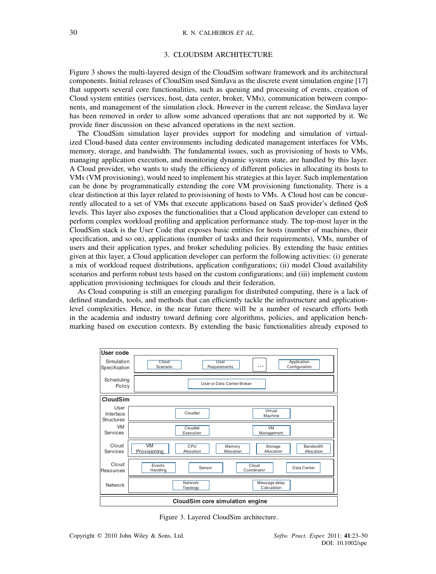# 3. CLOUDSIM ARCHITECTURE

Figure 3 shows the multi-layered design of the CloudSim software framework and its architectural components. Initial releases of CloudSim used SimJava as the discrete event simulation engine [17] that supports several core functionalities, such as queuing and processing of events, creation of Cloud system entities (services, host, data center, broker, VMs), communication between components, and management of the simulation clock. However in the current release, the SimJava layer has been removed in order to allow some advanced operations that are not supported by it. We provide finer discussion on these advanced operations in the next section.

The CloudSim simulation layer provides support for modeling and simulation of virtualized Cloud-based data center environments including dedicated management interfaces for VMs, memory, storage, and bandwidth. The fundamental issues, such as provisioning of hosts to VMs, managing application execution, and monitoring dynamic system state, are handled by this layer. A Cloud provider, who wants to study the efficiency of different policies in allocating its hosts to VMs (VM provisioning), would need to implement his strategies at this layer. Such implementation can be done by programmatically extending the core VM provisioning functionality. There is a clear distinction at this layer related to provisioning of hosts to VMs. A Cloud host can be concurrently allocated to a set of VMs that execute applications based on SaaS provider's defined QoS levels. This layer also exposes the functionalities that a Cloud application developer can extend to perform complex workload profiling and application performance study. The top-most layer in the CloudSim stack is the User Code that exposes basic entities for hosts (number of machines, their specification, and so on), applications (number of tasks and their requirements), VMs, number of users and their application types, and broker scheduling policies. By extending the basic entities given at this layer, a Cloud application developer can perform the following activities: (i) generate a mix of workload request distributions, application configurations; (ii) model Cloud availability scenarios and perform robust tests based on the custom configurations; and (iii) implement custom application provisioning techniques for clouds and their federation.

As Cloud computing is still an emerging paradigm for distributed computing, there is a lack of defined standards, tools, and methods that can efficiently tackle the infrastructure and applicationlevel complexities. Hence, in the near future there will be a number of research efforts both in the academia and industry toward defining core algorithms, policies, and application benchmarking based on execution contexts. By extending the basic functionalities already exposed to



Figure 3. Layered CloudSim architecture.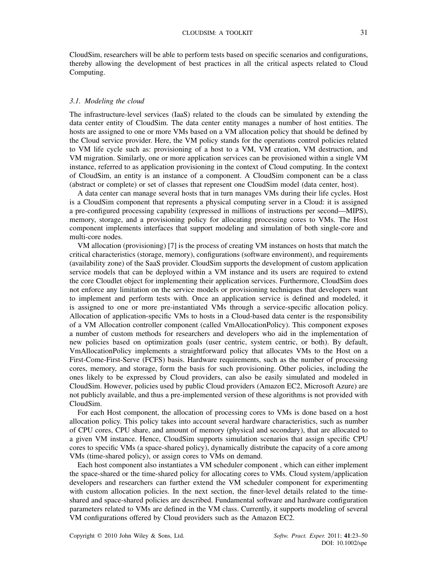CloudSim, researchers will be able to perform tests based on specific scenarios and configurations, thereby allowing the development of best practices in all the critical aspects related to Cloud Computing.

## *3.1. Modeling the cloud*

The infrastructure-level services (IaaS) related to the clouds can be simulated by extending the data center entity of CloudSim. The data center entity manages a number of host entities. The hosts are assigned to one or more VMs based on a VM allocation policy that should be defined by the Cloud service provider. Here, the VM policy stands for the operations control policies related to VM life cycle such as: provisioning of a host to a VM, VM creation, VM destruction, and VM migration. Similarly, one or more application services can be provisioned within a single VM instance, referred to as application provisioning in the context of Cloud computing. In the context of CloudSim, an entity is an instance of a component. A CloudSim component can be a class (abstract or complete) or set of classes that represent one CloudSim model (data center, host).

A data center can manage several hosts that in turn manages VMs during their life cycles. Host is a CloudSim component that represents a physical computing server in a Cloud: it is assigned a pre-configured processing capability (expressed in millions of instructions per second—MIPS), memory, storage, and a provisioning policy for allocating processing cores to VMs. The Host component implements interfaces that support modeling and simulation of both single-core and multi-core nodes.

VM allocation (provisioning) [7] is the process of creating VM instances on hosts that match the critical characteristics (storage, memory), configurations (software environment), and requirements (availability zone) of the SaaS provider. CloudSim supports the development of custom application service models that can be deployed within a VM instance and its users are required to extend the core Cloudlet object for implementing their application services. Furthermore, CloudSim does not enforce any limitation on the service models or provisioning techniques that developers want to implement and perform tests with. Once an application service is defined and modeled, it is assigned to one or more pre-instantiated VMs through a service-specific allocation policy. Allocation of application-specific VMs to hosts in a Cloud-based data center is the responsibility of a VM Allocation controller component (called VmAllocationPolicy). This component exposes a number of custom methods for researchers and developers who aid in the implementation of new policies based on optimization goals (user centric, system centric, or both). By default, VmAllocationPolicy implements a straightforward policy that allocates VMs to the Host on a First-Come-First-Serve (FCFS) basis. Hardware requirements, such as the number of processing cores, memory, and storage, form the basis for such provisioning. Other policies, including the ones likely to be expressed by Cloud providers, can also be easily simulated and modeled in CloudSim. However, policies used by public Cloud providers (Amazon EC2, Microsoft Azure) are not publicly available, and thus a pre-implemented version of these algorithms is not provided with CloudSim.

For each Host component, the allocation of processing cores to VMs is done based on a host allocation policy. This policy takes into account several hardware characteristics, such as number of CPU cores, CPU share, and amount of memory (physical and secondary), that are allocated to a given VM instance. Hence, CloudSim supports simulation scenarios that assign specific CPU cores to specific VMs (a space-shared policy), dynamically distribute the capacity of a core among VMs (time-shared policy), or assign cores to VMs on demand.

Each host component also instantiates a VM scheduler component , which can either implement the space-shared or the time-shared policy for allocating cores to VMs. Cloud system*/*application developers and researchers can further extend the VM scheduler component for experimenting with custom allocation policies. In the next section, the finer-level details related to the timeshared and space-shared policies are described. Fundamental software and hardware configuration parameters related to VMs are defined in the VM class. Currently, it supports modeling of several VM configurations offered by Cloud providers such as the Amazon EC2.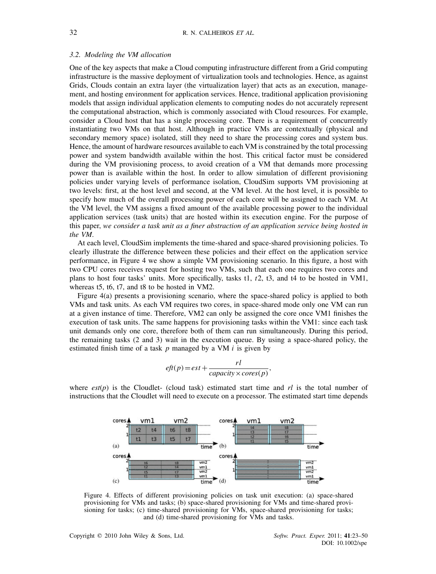## *3.2. Modeling the VM allocation*

One of the key aspects that make a Cloud computing infrastructure different from a Grid computing infrastructure is the massive deployment of virtualization tools and technologies. Hence, as against Grids, Clouds contain an extra layer (the virtualization layer) that acts as an execution, management, and hosting environment for application services. Hence, traditional application provisioning models that assign individual application elements to computing nodes do not accurately represent the computational abstraction, which is commonly associated with Cloud resources. For example, consider a Cloud host that has a single processing core. There is a requirement of concurrently instantiating two VMs on that host. Although in practice VMs are contextually (physical and secondary memory space) isolated, still they need to share the processing cores and system bus. Hence, the amount of hardware resources available to each VM is constrained by the total processing power and system bandwidth available within the host. This critical factor must be considered during the VM provisioning process, to avoid creation of a VM that demands more processing power than is available within the host. In order to allow simulation of different provisioning policies under varying levels of performance isolation, CloudSim supports VM provisioning at two levels: first, at the host level and second, at the VM level. At the host level, it is possible to specify how much of the overall processing power of each core will be assigned to each VM. At the VM level, the VM assigns a fixed amount of the available processing power to the individual application services (task units) that are hosted within its execution engine. For the purpose of this paper, *we consider a task unit as a finer abstraction of an application service being hosted in the VM*.

At each level, CloudSim implements the time-shared and space-shared provisioning policies. To clearly illustrate the difference between these policies and their effect on the application service performance, in Figure 4 we show a simple VM provisioning scenario. In this figure, a host with two CPU cores receives request for hosting two VMs, such that each one requires two cores and plans to host four tasks' units. More specifically, tasks t1, *t*2, t3, and t4 to be hosted in VM1, whereas t5, t6, t7, and t8 to be hosted in VM2.

Figure 4(a) presents a provisioning scenario, where the space-shared policy is applied to both VMs and task units. As each VM requires two cores, in space-shared mode only one VM can run at a given instance of time. Therefore, VM2 can only be assigned the core once VM1 finishes the execution of task units. The same happens for provisioning tasks within the VM1: since each task unit demands only one core, therefore both of them can run simultaneously. During this period, the remaining tasks (2 and 3) wait in the execution queue. By using a space-shared policy, the estimated finish time of a task *p* managed by a VM *i* is given by

$$
eft(p) = est + \frac{rl}{capacity \times cores(p)},
$$

where  $est(p)$  is the Cloudlet- (cloud task) estimated start time and  $rl$  is the total number of instructions that the Cloudlet will need to execute on a processor. The estimated start time depends



Figure 4. Effects of different provisioning policies on task unit execution: (a) space-shared provisioning for VMs and tasks; (b) space-shared provisioning for VMs and time-shared provisioning for tasks; (c) time-shared provisioning for VMs, space-shared provisioning for tasks; and (d) time-shared provisioning for VMs and tasks.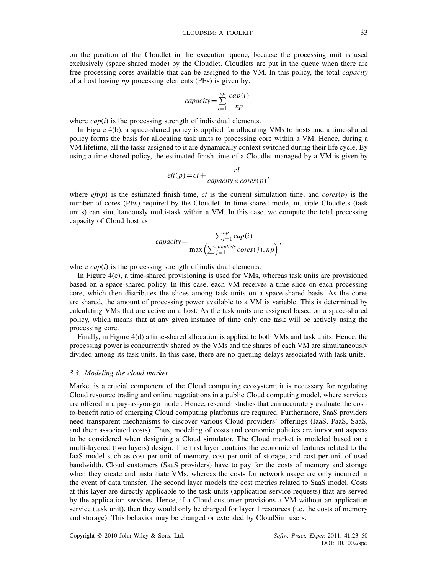on the position of the Cloudlet in the execution queue, because the processing unit is used exclusively (space-shared mode) by the Cloudlet. Cloudlets are put in the queue when there are free processing cores available that can be assigned to the VM. In this policy, the total *capacity* of a host having *np* processing elements (PEs) is given by:

$$
capacity = \sum_{i=1}^{np} \frac{cap(i)}{np},
$$

where  $cap(i)$  is the processing strength of individual elements.

In Figure 4(b), a space-shared policy is applied for allocating VMs to hosts and a time-shared policy forms the basis for allocating task units to processing core within a VM. Hence, during a VM lifetime, all the tasks assigned to it are dynamically context switched during their life cycle. By using a time-shared policy, the estimated finish time of a Cloudlet managed by a VM is given by

$$
eft(p) = ct + \frac{rl}{capacity \times cores(p)}
$$

*,*

where  $eft(p)$  is the estimated finish time, *ct* is the current simulation time, and *cores* $(p)$  is the number of cores (PEs) required by the Cloudlet. In time-shared mode, multiple Cloudlets (task units) can simultaneously multi-task within a VM. In this case, we compute the total processing capacity of Cloud host as

$$
capacity = \frac{\sum_{i=1}^{np} cap(i)}{\max\left(\sum_{j=1}^{cloudlets} cores(j), np\right)},
$$

where *cap*(*i*) is the processing strength of individual elements.

In Figure 4(c), a time-shared provisioning is used for VMs, whereas task units are provisioned based on a space-shared policy. In this case, each VM receives a time slice on each processing core, which then distributes the slices among task units on a space-shared basis. As the cores are shared, the amount of processing power available to a VM is variable. This is determined by calculating VMs that are active on a host. As the task units are assigned based on a space-shared policy, which means that at any given instance of time only one task will be actively using the processing core.

Finally, in Figure 4(d) a time-shared allocation is applied to both VMs and task units. Hence, the processing power is concurrently shared by the VMs and the shares of each VM are simultaneously divided among its task units. In this case, there are no queuing delays associated with task units.

# *3.3. Modeling the cloud market*

Market is a crucial component of the Cloud computing ecosystem; it is necessary for regulating Cloud resource trading and online negotiations in a public Cloud computing model, where services are offered in a pay-as-you-go model. Hence, research studies that can accurately evaluate the costto-benefit ratio of emerging Cloud computing platforms are required. Furthermore, SaaS providers need transparent mechanisms to discover various Cloud providers' offerings (IaaS, PaaS, SaaS, and their associated costs). Thus, modeling of costs and economic policies are important aspects to be considered when designing a Cloud simulator. The Cloud market is modeled based on a multi-layered (two layers) design. The first layer contains the economic of features related to the IaaS model such as cost per unit of memory, cost per unit of storage, and cost per unit of used bandwidth. Cloud customers (SaaS providers) have to pay for the costs of memory and storage when they create and instantiate VMs, whereas the costs for network usage are only incurred in the event of data transfer. The second layer models the cost metrics related to SaaS model. Costs at this layer are directly applicable to the task units (application service requests) that are served by the application services. Hence, if a Cloud customer provisions a VM without an application service (task unit), then they would only be charged for layer 1 resources (i.e. the costs of memory and storage). This behavior may be changed or extended by CloudSim users.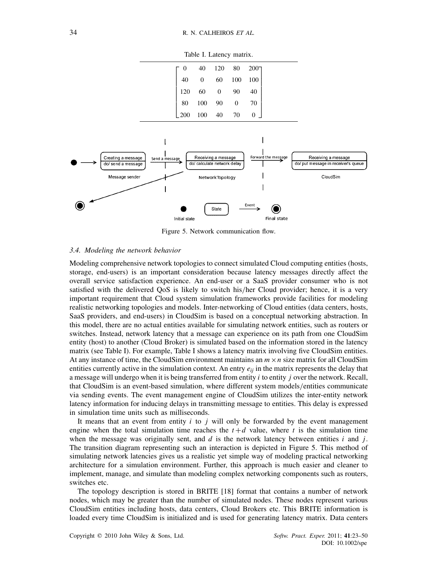Table I. Latency matrix.

|     | $\begin{array}{ccc} 40 & 120 & 80 \\ 0 & 60 & 100 \\ 60 & 0 & 90 \\ 100 & 90 & 0 \\ 100 & 40 & 70 \end{array}$ |  | 200 |
|-----|----------------------------------------------------------------------------------------------------------------|--|-----|
| 40  |                                                                                                                |  | 100 |
| 120 |                                                                                                                |  | 40  |
| 80  |                                                                                                                |  | 70  |
|     |                                                                                                                |  |     |



Figure 5. Network communication flow.

## *3.4. Modeling the network behavior*

Modeling comprehensive network topologies to connect simulated Cloud computing entities (hosts, storage, end-users) is an important consideration because latency messages directly affect the overall service satisfaction experience. An end-user or a SaaS provider consumer who is not satisfied with the delivered QoS is likely to switch his*/*her Cloud provider; hence, it is a very important requirement that Cloud system simulation frameworks provide facilities for modeling realistic networking topologies and models. Inter-networking of Cloud entities (data centers, hosts, SaaS providers, and end-users) in CloudSim is based on a conceptual networking abstraction. In this model, there are no actual entities available for simulating network entities, such as routers or switches. Instead, network latency that a message can experience on its path from one CloudSim entity (host) to another (Cloud Broker) is simulated based on the information stored in the latency matrix (see Table I). For example, Table I shows a latency matrix involving five CloudSim entities. At any instance of time, the CloudSim environment maintains an  $m \times n$  size matrix for all CloudSim entities currently active in the simulation context. An entry  $e_{ii}$  in the matrix represents the delay that a message will undergo when it is being transferred from entity *i* to entity *j* over the network. Recall, that CloudSim is an event-based simulation, where different system models*/*entities communicate via sending events. The event management engine of CloudSim utilizes the inter-entity network latency information for inducing delays in transmitting message to entities. This delay is expressed in simulation time units such as milliseconds.

It means that an event from entity  $i$  to  $j$  will only be forwarded by the event management engine when the total simulation time reaches the  $t+d$  value, where t is the simulation time when the message was originally sent, and *d* is the network latency between entities *i* and *j*. The transition diagram representing such an interaction is depicted in Figure 5. This method of simulating network latencies gives us a realistic yet simple way of modeling practical networking architecture for a simulation environment. Further, this approach is much easier and cleaner to implement, manage, and simulate than modeling complex networking components such as routers, switches etc.

The topology description is stored in BRITE [18] format that contains a number of network nodes, which may be greater than the number of simulated nodes. These nodes represent various CloudSim entities including hosts, data centers, Cloud Brokers etc. This BRITE information is loaded every time CloudSim is initialized and is used for generating latency matrix. Data centers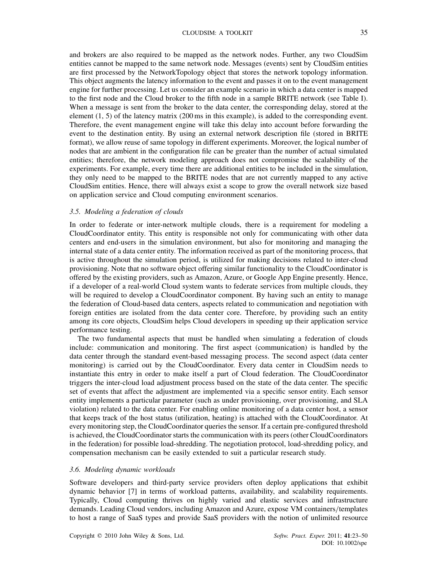and brokers are also required to be mapped as the network nodes. Further, any two CloudSim entities cannot be mapped to the same network node. Messages (events) sent by CloudSim entities are first processed by the NetworkTopology object that stores the network topology information. This object augments the latency information to the event and passes it on to the event management engine for further processing. Let us consider an example scenario in which a data center is mapped to the first node and the Cloud broker to the fifth node in a sample BRITE network (see Table I). When a message is sent from the broker to the data center, the corresponding delay, stored at the element (1, 5) of the latency matrix (200 ms in this example), is added to the corresponding event. Therefore, the event management engine will take this delay into account before forwarding the event to the destination entity. By using an external network description file (stored in BRITE format), we allow reuse of same topology in different experiments. Moreover, the logical number of nodes that are ambient in the configuration file can be greater than the number of actual simulated entities; therefore, the network modeling approach does not compromise the scalability of the experiments. For example, every time there are additional entities to be included in the simulation, they only need to be mapped to the BRITE nodes that are not currently mapped to any active CloudSim entities. Hence, there will always exist a scope to grow the overall network size based on application service and Cloud computing environment scenarios.

## *3.5. Modeling a federation of clouds*

In order to federate or inter-network multiple clouds, there is a requirement for modeling a CloudCoordinator entity. This entity is responsible not only for communicating with other data centers and end-users in the simulation environment, but also for monitoring and managing the internal state of a data center entity. The information received as part of the monitoring process, that is active throughout the simulation period, is utilized for making decisions related to inter-cloud provisioning. Note that no software object offering similar functionality to the CloudCoordinator is offered by the existing providers, such as Amazon, Azure, or Google App Engine presently. Hence, if a developer of a real-world Cloud system wants to federate services from multiple clouds, they will be required to develop a CloudCoordinator component. By having such an entity to manage the federation of Cloud-based data centers, aspects related to communication and negotiation with foreign entities are isolated from the data center core. Therefore, by providing such an entity among its core objects, CloudSim helps Cloud developers in speeding up their application service performance testing.

The two fundamental aspects that must be handled when simulating a federation of clouds include: communication and monitoring. The first aspect (communication) is handled by the data center through the standard event-based messaging process. The second aspect (data center monitoring) is carried out by the CloudCoordinator. Every data center in CloudSim needs to instantiate this entry in order to make itself a part of Cloud federation. The CloudCoordinator triggers the inter-cloud load adjustment process based on the state of the data center. The specific set of events that affect the adjustment are implemented via a specific sensor entity. Each sensor entity implements a particular parameter (such as under provisioning, over provisioning, and SLA violation) related to the data center. For enabling online monitoring of a data center host, a sensor that keeps track of the host status (utilization, heating) is attached with the CloudCoordinator. At every monitoring step, the CloudCoordinator queries the sensor. If a certain pre-configured threshold is achieved, the CloudCoordinator starts the communication with its peers (other CloudCoordinators in the federation) for possible load-shredding. The negotiation protocol, load-shredding policy, and compensation mechanism can be easily extended to suit a particular research study.

## *3.6. Modeling dynamic workloads*

Software developers and third-party service providers often deploy applications that exhibit dynamic behavior [7] in terms of workload patterns, availability, and scalability requirements. Typically, Cloud computing thrives on highly varied and elastic services and infrastructure demands. Leading Cloud vendors, including Amazon and Azure, expose VM containers*/*templates to host a range of SaaS types and provide SaaS providers with the notion of unlimited resource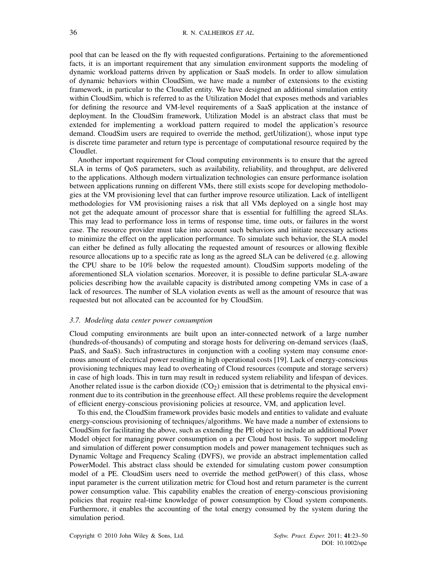pool that can be leased on the fly with requested configurations. Pertaining to the aforementioned facts, it is an important requirement that any simulation environment supports the modeling of dynamic workload patterns driven by application or SaaS models. In order to allow simulation of dynamic behaviors within CloudSim, we have made a number of extensions to the existing framework, in particular to the Cloudlet entity. We have designed an additional simulation entity within CloudSim, which is referred to as the Utilization Model that exposes methods and variables for defining the resource and VM-level requirements of a SaaS application at the instance of deployment. In the CloudSim framework, Utilization Model is an abstract class that must be extended for implementing a workload pattern required to model the application's resource demand. CloudSim users are required to override the method, getUtilization(), whose input type is discrete time parameter and return type is percentage of computational resource required by the Cloudlet.

Another important requirement for Cloud computing environments is to ensure that the agreed SLA in terms of QoS parameters, such as availability, reliability, and throughput, are delivered to the applications. Although modern virtualization technologies can ensure performance isolation between applications running on different VMs, there still exists scope for developing methodologies at the VM provisioning level that can further improve resource utilization. Lack of intelligent methodologies for VM provisioning raises a risk that all VMs deployed on a single host may not get the adequate amount of processor share that is essential for fulfilling the agreed SLAs. This may lead to performance loss in terms of response time, time outs, or failures in the worst case. The resource provider must take into account such behaviors and initiate necessary actions to minimize the effect on the application performance. To simulate such behavior, the SLA model can either be defined as fully allocating the requested amount of resources or allowing flexible resource allocations up to a specific rate as long as the agreed SLA can be delivered (e.g. allowing the CPU share to be 10% below the requested amount). CloudSim supports modeling of the aforementioned SLA violation scenarios. Moreover, it is possible to define particular SLA-aware policies describing how the available capacity is distributed among competing VMs in case of a lack of resources. The number of SLA violation events as well as the amount of resource that was requested but not allocated can be accounted for by CloudSim.

## *3.7. Modeling data center power consumption*

Cloud computing environments are built upon an inter-connected network of a large number (hundreds-of-thousands) of computing and storage hosts for delivering on-demand services (IaaS, PaaS, and SaaS). Such infrastructures in conjunction with a cooling system may consume enormous amount of electrical power resulting in high operational costs [19]. Lack of energy-conscious provisioning techniques may lead to overheating of Cloud resources (compute and storage servers) in case of high loads. This in turn may result in reduced system reliability and lifespan of devices. Another related issue is the carbon dioxide *(CO<sub>2</sub>)* emission that is detrimental to the physical environment due to its contribution in the greenhouse effect. All these problems require the development of efficient energy-conscious provisioning policies at resource, VM, and application level.

To this end, the CloudSim framework provides basic models and entities to validate and evaluate energy-conscious provisioning of techniques*/*algorithms. We have made a number of extensions to CloudSim for facilitating the above, such as extending the PE object to include an additional Power Model object for managing power consumption on a per Cloud host basis. To support modeling and simulation of different power consumption models and power management techniques such as Dynamic Voltage and Frequency Scaling (DVFS), we provide an abstract implementation called PowerModel. This abstract class should be extended for simulating custom power consumption model of a PE. CloudSim users need to override the method getPower() of this class, whose input parameter is the current utilization metric for Cloud host and return parameter is the current power consumption value. This capability enables the creation of energy-conscious provisioning policies that require real-time knowledge of power consumption by Cloud system components. Furthermore, it enables the accounting of the total energy consumed by the system during the simulation period.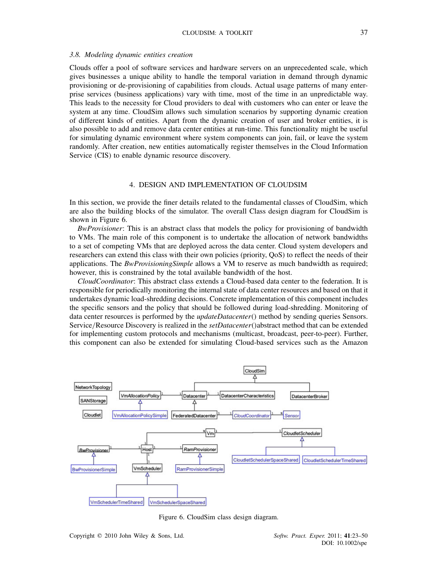#### *3.8. Modeling dynamic entities creation*

Clouds offer a pool of software services and hardware servers on an unprecedented scale, which gives businesses a unique ability to handle the temporal variation in demand through dynamic provisioning or de-provisioning of capabilities from clouds. Actual usage patterns of many enterprise services (business applications) vary with time, most of the time in an unpredictable way. This leads to the necessity for Cloud providers to deal with customers who can enter or leave the system at any time. CloudSim allows such simulation scenarios by supporting dynamic creation of different kinds of entities. Apart from the dynamic creation of user and broker entities, it is also possible to add and remove data center entities at run-time. This functionality might be useful for simulating dynamic environment where system components can join, fail, or leave the system randomly. After creation, new entities automatically register themselves in the Cloud Information Service (CIS) to enable dynamic resource discovery.

## 4. DESIGN AND IMPLEMENTATION OF CLOUDSIM

In this section, we provide the finer details related to the fundamental classes of CloudSim, which are also the building blocks of the simulator. The overall Class design diagram for CloudSim is shown in Figure 6.

*BwProvisioner*: This is an abstract class that models the policy for provisioning of bandwidth to VMs. The main role of this component is to undertake the allocation of network bandwidths to a set of competing VMs that are deployed across the data center. Cloud system developers and researchers can extend this class with their own policies (priority, QoS) to reflect the needs of their applications. The *BwProvisioningSimple* allows a VM to reserve as much bandwidth as required; however, this is constrained by the total available bandwidth of the host.

*CloudCoordinator*: This abstract class extends a Cloud-based data center to the federation. It is responsible for periodically monitoring the internal state of data center resources and based on that it undertakes dynamic load-shredding decisions. Concrete implementation of this component includes the specific sensors and the policy that should be followed during load-shredding. Monitoring of data center resources is performed by the *updateDatacenter()* method by sending queries Sensors. Service*/*Resource Discovery is realized in the *setDatacenter()*abstract method that can be extended for implementing custom protocols and mechanisms (multicast, broadcast, peer-to-peer). Further, this component can also be extended for simulating Cloud-based services such as the Amazon



Figure 6. CloudSim class design diagram.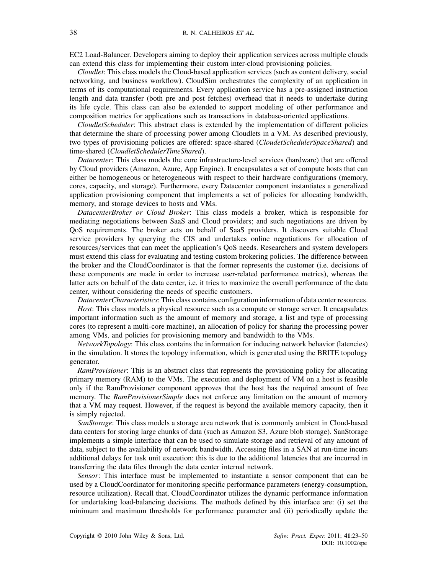EC2 Load-Balancer. Developers aiming to deploy their application services across multiple clouds can extend this class for implementing their custom inter-cloud provisioning policies.

*Cloudlet*: This class models the Cloud-based application services (such as content delivery, social networking, and business workflow). CloudSim orchestrates the complexity of an application in terms of its computational requirements. Every application service has a pre-assigned instruction length and data transfer (both pre and post fetches) overhead that it needs to undertake during its life cycle. This class can also be extended to support modeling of other performance and composition metrics for applications such as transactions in database-oriented applications.

*CloudletScheduler*: This abstract class is extended by the implementation of different policies that determine the share of processing power among Cloudlets in a VM. As described previously, two types of provisioning policies are offered: space-shared (*CloudetSchedulerSpaceShared*) and time-shared (*CloudletSchedulerTimeShared*).

*Datacenter*: This class models the core infrastructure-level services (hardware) that are offered by Cloud providers (Amazon, Azure, App Engine). It encapsulates a set of compute hosts that can either be homogeneous or heterogeneous with respect to their hardware configurations (memory, cores, capacity, and storage). Furthermore, every Datacenter component instantiates a generalized application provisioning component that implements a set of policies for allocating bandwidth, memory, and storage devices to hosts and VMs.

*DatacenterBroker or Cloud Broker*: This class models a broker, which is responsible for mediating negotiations between SaaS and Cloud providers; and such negotiations are driven by QoS requirements. The broker acts on behalf of SaaS providers. It discovers suitable Cloud service providers by querying the CIS and undertakes online negotiations for allocation of resources*/*services that can meet the application's QoS needs. Researchers and system developers must extend this class for evaluating and testing custom brokering policies. The difference between the broker and the CloudCoordinator is that the former represents the customer (i.e. decisions of these components are made in order to increase user-related performance metrics), whereas the latter acts on behalf of the data center, i.e. it tries to maximize the overall performance of the data center, without considering the needs of specific customers.

*DatacenterCharacteristics*: This class contains configuration information of data center resources.

*Host*: This class models a physical resource such as a compute or storage server. It encapsulates important information such as the amount of memory and storage, a list and type of processing cores (to represent a multi-core machine), an allocation of policy for sharing the processing power among VMs, and policies for provisioning memory and bandwidth to the VMs.

*NetworkTopology*: This class contains the information for inducing network behavior (latencies) in the simulation. It stores the topology information, which is generated using the BRITE topology generator.

*RamProvisioner*: This is an abstract class that represents the provisioning policy for allocating primary memory (RAM) to the VMs. The execution and deployment of VM on a host is feasible only if the RamProvisioner component approves that the host has the required amount of free memory. The *RamProvisionerSimple* does not enforce any limitation on the amount of memory that a VM may request. However, if the request is beyond the available memory capacity, then it is simply rejected.

*SanStorage*: This class models a storage area network that is commonly ambient in Cloud-based data centers for storing large chunks of data (such as Amazon S3, Azure blob storage). SanStorage implements a simple interface that can be used to simulate storage and retrieval of any amount of data, subject to the availability of network bandwidth. Accessing files in a SAN at run-time incurs additional delays for task unit execution; this is due to the additional latencies that are incurred in transferring the data files through the data center internal network.

*Sensor*: This interface must be implemented to instantiate a sensor component that can be used by a CloudCoordinator for monitoring specific performance parameters (energy-consumption, resource utilization). Recall that, CloudCoordinator utilizes the dynamic performance information for undertaking load-balancing decisions. The methods defined by this interface are: (i) set the minimum and maximum thresholds for performance parameter and (ii) periodically update the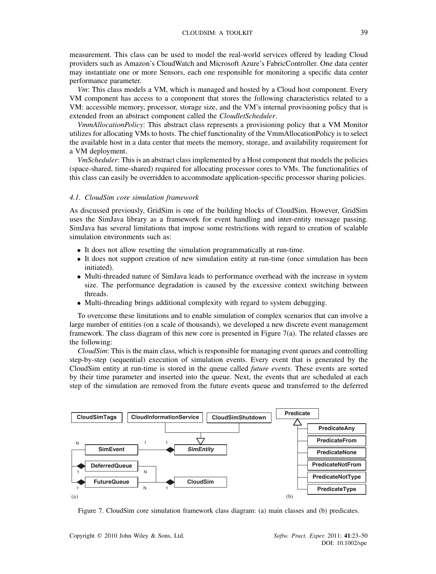measurement. This class can be used to model the real-world services offered by leading Cloud providers such as Amazon's CloudWatch and Microsoft Azure's FabricController. One data center may instantiate one or more Sensors, each one responsible for monitoring a specific data center performance parameter.

*Vm*: This class models a VM, which is managed and hosted by a Cloud host component. Every VM component has access to a component that stores the following characteristics related to a VM: accessible memory, processor, storage size, and the VM's internal provisioning policy that is extended from an abstract component called the *CloudletScheduler*.

*VmmAllocationPolicy*: This abstract class represents a provisioning policy that a VM Monitor utilizes for allocating VMs to hosts. The chief functionality of the VmmAllocationPolicy is to select the available host in a data center that meets the memory, storage, and availability requirement for a VM deployment.

*VmScheduler*: This is an abstract class implemented by a Host component that models the policies (space-shared, time-shared) required for allocating processor cores to VMs. The functionalities of this class can easily be overridden to accommodate application-specific processor sharing policies.

## *4.1. CloudSim core simulation framework*

As discussed previously, GridSim is one of the building blocks of CloudSim. However, GridSim uses the SimJava library as a framework for event handling and inter-entity message passing. SimJava has several limitations that impose some restrictions with regard to creation of scalable simulation environments such as:

- It does not allow resetting the simulation programmatically at run-time.
- It does not support creation of new simulation entity at run-time (once simulation has been initiated).
- Multi-threaded nature of SimJava leads to performance overhead with the increase in system size. The performance degradation is caused by the excessive context switching between threads.
- Multi-threading brings additional complexity with regard to system debugging.

To overcome these limitations and to enable simulation of complex scenarios that can involve a large number of entities (on a scale of thousands), we developed a new discrete event management framework. The class diagram of this new core is presented in Figure 7(a). The related classes are the following:

*CloudSim*: This is the main class, which is responsible for managing event queues and controlling step-by-step (sequential) execution of simulation events. Every event that is generated by the CloudSim entity at run-time is stored in the queue called *future events*. These events are sorted by their time parameter and inserted into the queue. Next, the events that are scheduled at each step of the simulation are removed from the future events queue and transferred to the deferred



Figure 7. CloudSim core simulation framework class diagram: (a) main classes and (b) predicates.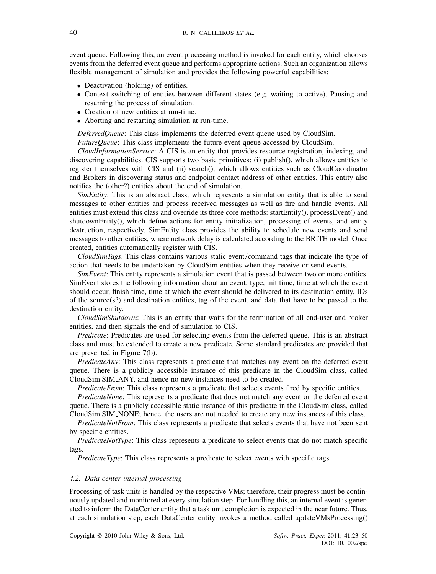event queue. Following this, an event processing method is invoked for each entity, which chooses events from the deferred event queue and performs appropriate actions. Such an organization allows flexible management of simulation and provides the following powerful capabilities:

- Deactivation (holding) of entities.
- Context switching of entities between different states (e.g. waiting to active). Pausing and resuming the process of simulation.
- Creation of new entities at run-time.
- Aborting and restarting simulation at run-time.

*DeferredOueue*: This class implements the deferred event queue used by CloudSim.

*FutureQueue*: This class implements the future event queue accessed by CloudSim.

*CloudInformationService*: A CIS is an entity that provides resource registration, indexing, and discovering capabilities. CIS supports two basic primitives: (i) publish(), which allows entities to register themselves with CIS and (ii) search(), which allows entities such as CloudCoordinator and Brokers in discovering status and endpoint contact address of other entities. This entity also notifies the (other?) entities about the end of simulation.

*SimEntity*: This is an abstract class, which represents a simulation entity that is able to send messages to other entities and process received messages as well as fire and handle events. All entities must extend this class and override its three core methods: startEntity(), processEvent() and shutdownEntity(), which define actions for entity initialization, processing of events, and entity destruction, respectively. SimEntity class provides the ability to schedule new events and send messages to other entities, where network delay is calculated according to the BRITE model. Once created, entities automatically register with CIS.

*CloudSimTags*. This class contains various static event*/*command tags that indicate the type of action that needs to be undertaken by CloudSim entities when they receive or send events.

*SimEvent*: This entity represents a simulation event that is passed between two or more entities. SimEvent stores the following information about an event: type, init time, time at which the event should occur, finish time, time at which the event should be delivered to its destination entity, IDs of the source(s?) and destination entities, tag of the event, and data that have to be passed to the destination entity.

*CloudSimShutdown*: This is an entity that waits for the termination of all end-user and broker entities, and then signals the end of simulation to CIS.

*Predicate*: Predicates are used for selecting events from the deferred queue. This is an abstract class and must be extended to create a new predicate. Some standard predicates are provided that are presented in Figure 7(b).

*PredicateAny*: This class represents a predicate that matches any event on the deferred event queue. There is a publicly accessible instance of this predicate in the CloudSim class, called CloudSim.SIM ANY, and hence no new instances need to be created.

*PredicateFrom:* This class represents a predicate that selects events fired by specific entities.

*PredicateNone*: This represents a predicate that does not match any event on the deferred event queue. There is a publicly accessible static instance of this predicate in the CloudSim class, called CloudSim.SIM NONE; hence, the users are not needed to create any new instances of this class.

*PredicateNotFrom*: This class represents a predicate that selects events that have not been sent by specific entities.

*PredicateNotType*: This class represents a predicate to select events that do not match specific tags.

*PredicateType*: This class represents a predicate to select events with specific tags.

## *4.2. Data center internal processing*

Processing of task units is handled by the respective VMs; therefore, their progress must be continuously updated and monitored at every simulation step. For handling this, an internal event is generated to inform the DataCenter entity that a task unit completion is expected in the near future. Thus, at each simulation step, each DataCenter entity invokes a method called updateVMsProcessing()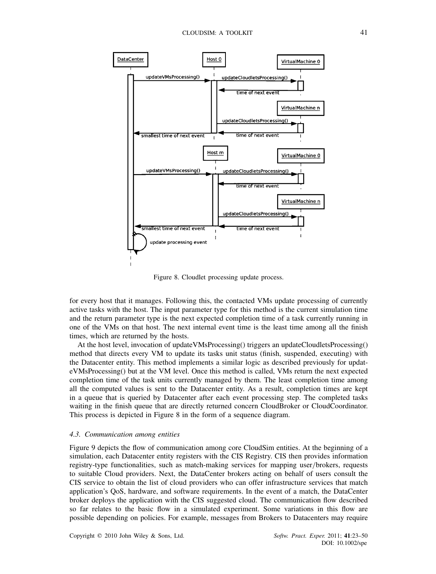

Figure 8. Cloudlet processing update process.

for every host that it manages. Following this, the contacted VMs update processing of currently active tasks with the host. The input parameter type for this method is the current simulation time and the return parameter type is the next expected completion time of a task currently running in one of the VMs on that host. The next internal event time is the least time among all the finish times, which are returned by the hosts.

At the host level, invocation of updateVMsProcessing() triggers an updateCloudletsProcessing() method that directs every VM to update its tasks unit status (finish, suspended, executing) with the Datacenter entity. This method implements a similar logic as described previously for updateVMsProcessing() but at the VM level. Once this method is called, VMs return the next expected completion time of the task units currently managed by them. The least completion time among all the computed values is sent to the Datacenter entity. As a result, completion times are kept in a queue that is queried by Datacenter after each event processing step. The completed tasks waiting in the finish queue that are directly returned concern CloudBroker or CloudCoordinator. This process is depicted in Figure 8 in the form of a sequence diagram.

## *4.3. Communication among entities*

Figure 9 depicts the flow of communication among core CloudSim entities. At the beginning of a simulation, each Datacenter entity registers with the CIS Registry. CIS then provides information registry-type functionalities, such as match-making services for mapping user*/*brokers, requests to suitable Cloud providers. Next, the DataCenter brokers acting on behalf of users consult the CIS service to obtain the list of cloud providers who can offer infrastructure services that match application's QoS, hardware, and software requirements. In the event of a match, the DataCenter broker deploys the application with the CIS suggested cloud. The communication flow described so far relates to the basic flow in a simulated experiment. Some variations in this flow are possible depending on policies. For example, messages from Brokers to Datacenters may require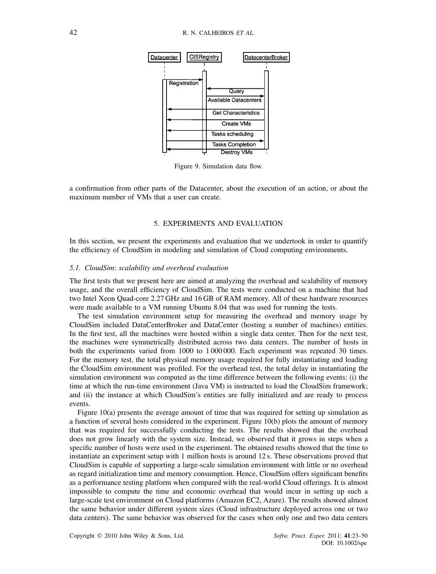

Figure 9. Simulation data flow.

a confirmation from other parts of the Datacenter, about the execution of an action, or about the maximum number of VMs that a user can create.

## 5. EXPERIMENTS AND EVALUATION

In this section, we present the experiments and evaluation that we undertook in order to quantify the efficiency of CloudSim in modeling and simulation of Cloud computing environments.

## *5.1. CloudSim*: *scalability and overhead evaluation*

The first tests that we present here are aimed at analyzing the overhead and scalability of memory usage, and the overall efficiency of CloudSim. The tests were conducted on a machine that had two Intel Xeon Quad-core 2.27 GHz and 16 GB of RAM memory. All of these hardware resources were made available to a VM running Ubuntu 8.04 that was used for running the tests.

The test simulation environment setup for measuring the overhead and memory usage by CloudSim included DataCenterBroker and DataCenter (hosting a number of machines) entities. In the first test, all the machines were hosted within a single data center. Then for the next test, the machines were symmetrically distributed across two data centers. The number of hosts in both the experiments varied from 1000 to 1 000 000. Each experiment was repeated 30 times. For the memory test, the total physical memory usage required for fully instantiating and loading the CloudSim environment was profiled. For the overhead test, the total delay in instantiating the simulation environment was computed as the time difference between the following events: (i) the time at which the run-time environment (Java VM) is instructed to load the CloudSim framework; and (ii) the instance at which CloudSim's entities are fully initialized and are ready to process events.

Figure 10(a) presents the average amount of time that was required for setting up simulation as a function of several hosts considered in the experiment. Figure 10(b) plots the amount of memory that was required for successfully conducting the tests. The results showed that the overhead does not grow linearly with the system size. Instead, we observed that it grows in steps when a specific number of hosts were used in the experiment. The obtained results showed that the time to instantiate an experiment setup with 1 million hosts is around 12 s. These observations proved that CloudSim is capable of supporting a large-scale simulation environment with little or no overhead as regard initialization time and memory consumption. Hence, CloudSim offers significant benefits as a performance testing platform when compared with the real-world Cloud offerings. It is almost impossible to compute the time and economic overhead that would incur in setting up such a large-scale test environment on Cloud platforms (Amazon EC2, Azure). The results showed almost the same behavior under different system sizes (Cloud infrastructure deployed across one or two data centers). The same behavior was observed for the cases when only one and two data centers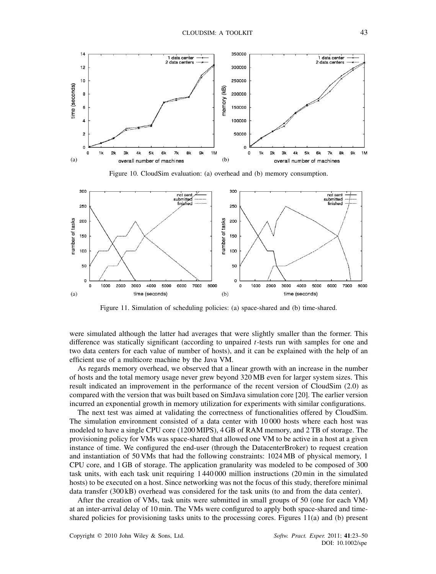

Figure 10. CloudSim evaluation: (a) overhead and (b) memory consumption.



Figure 11. Simulation of scheduling policies: (a) space-shared and (b) time-shared.

were simulated although the latter had averages that were slightly smaller than the former. This difference was statically significant (according to unpaired *t*-tests run with samples for one and two data centers for each value of number of hosts), and it can be explained with the help of an efficient use of a multicore machine by the Java VM.

As regards memory overhead, we observed that a linear growth with an increase in the number of hosts and the total memory usage never grew beyond 320 MB even for larger system sizes. This result indicated an improvement in the performance of the recent version of CloudSim (2.0) as compared with the version that was built based on SimJava simulation core [20]. The earlier version incurred an exponential growth in memory utilization for experiments with similar configurations.

The next test was aimed at validating the correctness of functionalities offered by CloudSim. The simulation environment consisted of a data center with 10 000 hosts where each host was modeled to have a single CPU core (1200 MIPS), 4 GB of RAM memory, and 2 TB of storage. The provisioning policy for VMs was space-shared that allowed one VM to be active in a host at a given instance of time. We configured the end-user (through the DatacenterBroker) to request creation and instantiation of 50 VMs that had the following constraints: 1024 MB of physical memory, 1 CPU core, and 1 GB of storage. The application granularity was modeled to be composed of 300 task units, with each task unit requiring 1 440 000 million instructions (20 min in the simulated hosts) to be executed on a host. Since networking was not the focus of this study, therefore minimal data transfer (300 kB) overhead was considered for the task units (to and from the data center).

After the creation of VMs, task units were submitted in small groups of 50 (one for each VM) at an inter-arrival delay of 10 min. The VMs were configured to apply both space-shared and timeshared policies for provisioning tasks units to the processing cores. Figures 11(a) and (b) present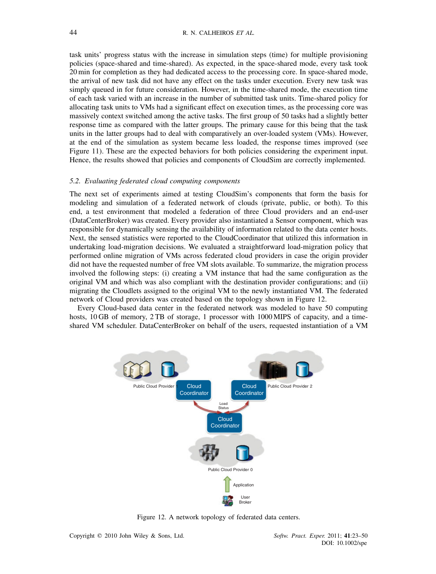task units' progress status with the increase in simulation steps (time) for multiple provisioning policies (space-shared and time-shared). As expected, in the space-shared mode, every task took 20 min for completion as they had dedicated access to the processing core. In space-shared mode, the arrival of new task did not have any effect on the tasks under execution. Every new task was simply queued in for future consideration. However, in the time-shared mode, the execution time of each task varied with an increase in the number of submitted task units. Time-shared policy for allocating task units to VMs had a significant effect on execution times, as the processing core was massively context switched among the active tasks. The first group of 50 tasks had a slightly better response time as compared with the latter groups. The primary cause for this being that the task units in the latter groups had to deal with comparatively an over-loaded system (VMs). However, at the end of the simulation as system became less loaded, the response times improved (see Figure 11). These are the expected behaviors for both policies considering the experiment input. Hence, the results showed that policies and components of CloudSim are correctly implemented.

## *5.2. Evaluating federated cloud computing components*

The next set of experiments aimed at testing CloudSim's components that form the basis for modeling and simulation of a federated network of clouds (private, public, or both). To this end, a test environment that modeled a federation of three Cloud providers and an end-user (DataCenterBroker) was created. Every provider also instantiated a Sensor component, which was responsible for dynamically sensing the availability of information related to the data center hosts. Next, the sensed statistics were reported to the CloudCoordinator that utilized this information in undertaking load-migration decisions. We evaluated a straightforward load-migration policy that performed online migration of VMs across federated cloud providers in case the origin provider did not have the requested number of free VM slots available. To summarize, the migration process involved the following steps: (i) creating a VM instance that had the same configuration as the original VM and which was also compliant with the destination provider configurations; and (ii) migrating the Cloudlets assigned to the original VM to the newly instantiated VM. The federated network of Cloud providers was created based on the topology shown in Figure 12.

Every Cloud-based data center in the federated network was modeled to have 50 computing hosts, 10 GB of memory, 2 TB of storage, 1 processor with 1000 MIPS of capacity, and a timeshared VM scheduler. DataCenterBroker on behalf of the users, requested instantiation of a VM



Figure 12. A network topology of federated data centers.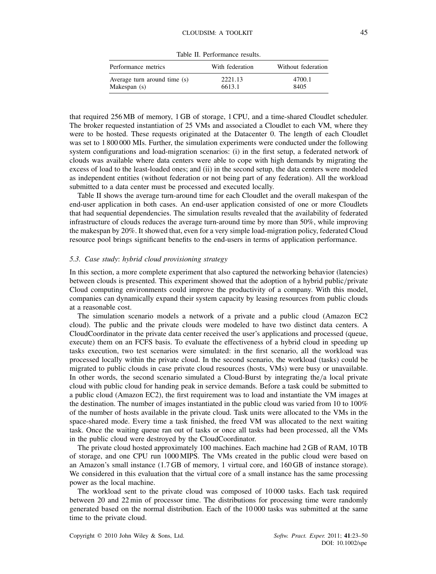Table II. Performance results.

| Performance metrics          | With federation | Without federation |
|------------------------------|-----------------|--------------------|
| Average turn around time (s) | 2221.13         | 4700.1             |
| Makespan (s)                 | 6613.1          | 8405               |

that required 256 MB of memory, 1 GB of storage, 1 CPU, and a time-shared Cloudlet scheduler. The broker requested instantiation of 25 VMs and associated a Cloudlet to each VM, where they were to be hosted. These requests originated at the Datacenter 0. The length of each Cloudlet was set to 1 800 000 MIs. Further, the simulation experiments were conducted under the following system configurations and load-migration scenarios: (i) in the first setup, a federated network of clouds was available where data centers were able to cope with high demands by migrating the excess of load to the least-loaded ones; and (ii) in the second setup, the data centers were modeled as independent entities (without federation or not being part of any federation). All the workload submitted to a data center must be processed and executed locally.

Table II shows the average turn-around time for each Cloudlet and the overall makespan of the end-user application in both cases. An end-user application consisted of one or more Cloudlets that had sequential dependencies. The simulation results revealed that the availability of federated infrastructure of clouds reduces the average turn-around time by more than 50%, while improving the makespan by 20%. It showed that, even for a very simple load-migration policy, federated Cloud resource pool brings significant benefits to the end-users in terms of application performance.

## *5.3. Case study*: *hybrid cloud provisioning strategy*

In this section, a more complete experiment that also captured the networking behavior (latencies) between clouds is presented. This experiment showed that the adoption of a hybrid public*/*private Cloud computing environments could improve the productivity of a company. With this model, companies can dynamically expand their system capacity by leasing resources from public clouds at a reasonable cost.

The simulation scenario models a network of a private and a public cloud (Amazon EC2 cloud). The public and the private clouds were modeled to have two distinct data centers. A CloudCoordinator in the private data center received the user's applications and processed (queue, execute) them on an FCFS basis. To evaluate the effectiveness of a hybrid cloud in speeding up tasks execution, two test scenarios were simulated: in the first scenario, all the workload was processed locally within the private cloud. In the second scenario, the workload (tasks) could be migrated to public clouds in case private cloud resources (hosts, VMs) were busy or unavailable. In other words, the second scenario simulated a Cloud-Burst by integrating the*/*a local private cloud with public cloud for handing peak in service demands. Before a task could be submitted to a public cloud (Amazon EC2), the first requirement was to load and instantiate the VM images at the destination. The number of images instantiated in the public cloud was varied from 10 to 100% of the number of hosts available in the private cloud. Task units were allocated to the VMs in the space-shared mode. Every time a task finished, the freed VM was allocated to the next waiting task. Once the waiting queue ran out of tasks or once all tasks had been processed, all the VMs in the public cloud were destroyed by the CloudCoordinator.

The private cloud hosted approximately 100 machines. Each machine had 2 GB of RAM, 10 TB of storage, and one CPU run 1000 MIPS. The VMs created in the public cloud were based on an Amazon's small instance (1.7 GB of memory, 1 virtual core, and 160 GB of instance storage). We considered in this evaluation that the virtual core of a small instance has the same processing power as the local machine.

The workload sent to the private cloud was composed of 10 000 tasks. Each task required between 20 and 22 min of processor time. The distributions for processing time were randomly generated based on the normal distribution. Each of the 10 000 tasks was submitted at the same time to the private cloud.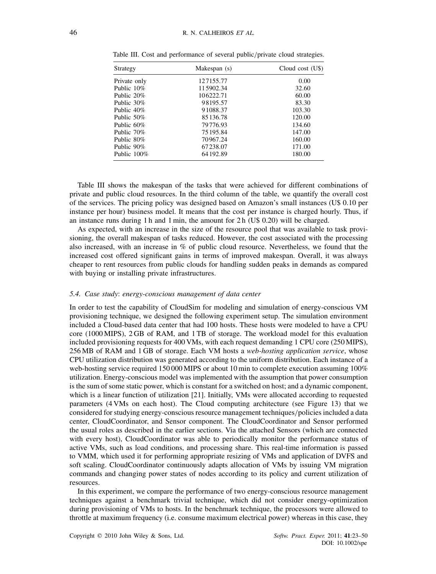| Strategy       | Makespan (s) | Cloud cost $(US)$ |
|----------------|--------------|-------------------|
| Private only   | 127155.77    | 0.00              |
| Public 10%     | 115902.34    | 32.60             |
| Public $20\%$  | 106222.71    | 60.00             |
| Public 30%     | 98195.57     | 83.30             |
| Public $40\%$  | 91088.37     | 103.30            |
| Public $50\%$  | 85136.78     | 120.00            |
| Public $60\%$  | 79776.93     | 134.60            |
| Public 70%     | 75195.84     | 147.00            |
| Public 80%     | 70967.24     | 160.00            |
| Public 90%     | 67238.07     | 171.00            |
| Public $100\%$ | 64192.89     | 180.00            |

Table III. Cost and performance of several public*/*private cloud strategies.

Table III shows the makespan of the tasks that were achieved for different combinations of private and public cloud resources. In the third column of the table, we quantify the overall cost of the services. The pricing policy was designed based on Amazon's small instances (U\$ 0.10 per instance per hour) business model. It means that the cost per instance is charged hourly. Thus, if an instance runs during 1 h and 1 min, the amount for 2 h (U\$ 0.20) will be charged.

As expected, with an increase in the size of the resource pool that was available to task provisioning, the overall makespan of tasks reduced. However, the cost associated with the processing also increased, with an increase in % of public cloud resource. Nevertheless, we found that the increased cost offered significant gains in terms of improved makespan. Overall, it was always cheaper to rent resources from public clouds for handling sudden peaks in demands as compared with buying or installing private infrastructures.

## *5.4. Case study*: *energy-conscious management of data center*

In order to test the capability of CloudSim for modeling and simulation of energy-conscious VM provisioning technique, we designed the following experiment setup. The simulation environment included a Cloud-based data center that had 100 hosts. These hosts were modeled to have a CPU core (1000 MIPS), 2 GB of RAM, and 1 TB of storage. The workload model for this evaluation included provisioning requests for 400 VMs, with each request demanding 1 CPU core (250 MIPS), 256 MB of RAM and 1 GB of storage. Each VM hosts a *web-hosting application service*, whose CPU utilization distribution was generated according to the uniform distribution. Each instance of a web-hosting service required 150 000 MIPS or about 10 min to complete execution assuming 100% utilization. Energy-conscious model was implemented with the assumption that power consumption is the sum of some static power, which is constant for a switched on host; and a dynamic component, which is a linear function of utilization [21]. Initially, VMs were allocated according to requested parameters (4 VMs on each host). The Cloud computing architecture (see Figure 13) that we considered for studying energy-conscious resource management techniques*/*policies included a data center, CloudCoordinator, and Sensor component. The CloudCoordinator and Sensor performed the usual roles as described in the earlier sections. Via the attached Sensors (which are connected with every host), CloudCoordinator was able to periodically monitor the performance status of active VMs, such as load conditions, and processing share. This real-time information is passed to VMM, which used it for performing appropriate resizing of VMs and application of DVFS and soft scaling. CloudCoordinator continuously adapts allocation of VMs by issuing VM migration commands and changing power states of nodes according to its policy and current utilization of resources.

In this experiment, we compare the performance of two energy-conscious resource management techniques against a benchmark trivial technique, which did not consider energy-optimization during provisioning of VMs to hosts. In the benchmark technique, the processors were allowed to throttle at maximum frequency (i.e. consume maximum electrical power) whereas in this case, they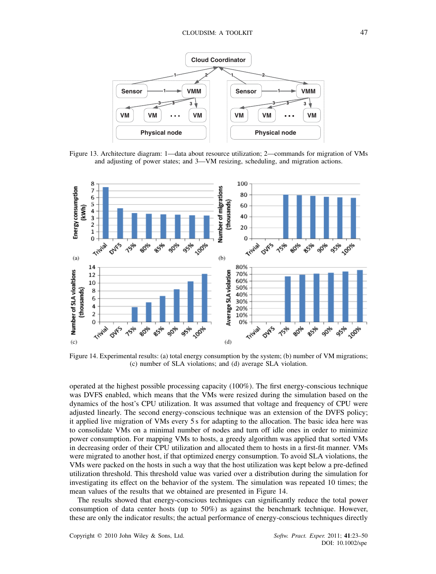

Figure 13. Architecture diagram: 1—data about resource utilization; 2—commands for migration of VMs and adjusting of power states; and 3—VM resizing, scheduling, and migration actions.



Figure 14. Experimental results: (a) total energy consumption by the system; (b) number of VM migrations; (c) number of SLA violations; and (d) average SLA violation.

operated at the highest possible processing capacity (100%). The first energy-conscious technique was DVFS enabled, which means that the VMs were resized during the simulation based on the dynamics of the host's CPU utilization. It was assumed that voltage and frequency of CPU were adjusted linearly. The second energy-conscious technique was an extension of the DVFS policy; it applied live migration of VMs every 5 s for adapting to the allocation. The basic idea here was to consolidate VMs on a minimal number of nodes and turn off idle ones in order to minimize power consumption. For mapping VMs to hosts, a greedy algorithm was applied that sorted VMs in decreasing order of their CPU utilization and allocated them to hosts in a first-fit manner. VMs were migrated to another host, if that optimized energy consumption. To avoid SLA violations, the VMs were packed on the hosts in such a way that the host utilization was kept below a pre-defined utilization threshold. This threshold value was varied over a distribution during the simulation for investigating its effect on the behavior of the system. The simulation was repeated 10 times; the mean values of the results that we obtained are presented in Figure 14.

The results showed that energy-conscious techniques can significantly reduce the total power consumption of data center hosts (up to 50%) as against the benchmark technique. However, these are only the indicator results; the actual performance of energy-conscious techniques directly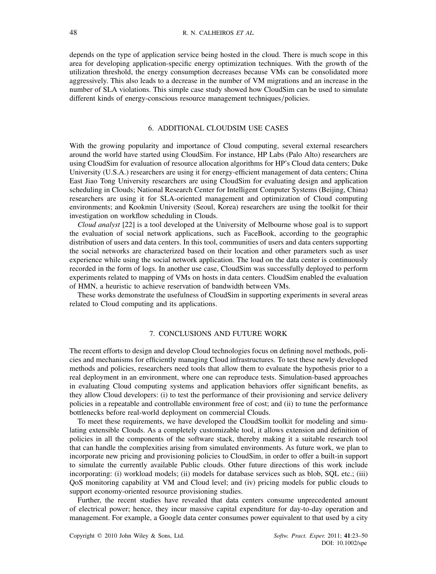depends on the type of application service being hosted in the cloud. There is much scope in this area for developing application-specific energy optimization techniques. With the growth of the utilization threshold, the energy consumption decreases because VMs can be consolidated more aggressively. This also leads to a decrease in the number of VM migrations and an increase in the number of SLA violations. This simple case study showed how CloudSim can be used to simulate different kinds of energy-conscious resource management techniques*/*policies.

# 6. ADDITIONAL CLOUDSIM USE CASES

With the growing popularity and importance of Cloud computing, several external researchers around the world have started using CloudSim. For instance, HP Labs (Palo Alto) researchers are using CloudSim for evaluation of resource allocation algorithms for HP's Cloud data centers; Duke University (U.S.A.) researchers are using it for energy-efficient management of data centers; China East Jiao Tong University researchers are using CloudSim for evaluating design and application scheduling in Clouds; National Research Center for Intelligent Computer Systems (Beijing, China) researchers are using it for SLA-oriented management and optimization of Cloud computing environments; and Kookmin University (Seoul, Korea) researchers are using the toolkit for their investigation on workflow scheduling in Clouds.

*Cloud analyst* [22] is a tool developed at the University of Melbourne whose goal is to support the evaluation of social network applications, such as FaceBook, according to the geographic distribution of users and data centers. In this tool, communities of users and data centers supporting the social networks are characterized based on their location and other parameters such as user experience while using the social network application. The load on the data center is continuously recorded in the form of logs. In another use case, CloudSim was successfully deployed to perform experiments related to mapping of VMs on hosts in data centers. CloudSim enabled the evaluation of HMN, a heuristic to achieve reservation of bandwidth between VMs.

These works demonstrate the usefulness of CloudSim in supporting experiments in several areas related to Cloud computing and its applications.

## 7. CONCLUSIONS AND FUTURE WORK

The recent efforts to design and develop Cloud technologies focus on defining novel methods, policies and mechanisms for efficiently managing Cloud infrastructures. To test these newly developed methods and policies, researchers need tools that allow them to evaluate the hypothesis prior to a real deployment in an environment, where one can reproduce tests. Simulation-based approaches in evaluating Cloud computing systems and application behaviors offer significant benefits, as they allow Cloud developers: (i) to test the performance of their provisioning and service delivery policies in a repeatable and controllable environment free of cost; and (ii) to tune the performance bottlenecks before real-world deployment on commercial Clouds.

To meet these requirements, we have developed the CloudSim toolkit for modeling and simulating extensible Clouds. As a completely customizable tool, it allows extension and definition of policies in all the components of the software stack, thereby making it a suitable research tool that can handle the complexities arising from simulated environments. As future work, we plan to incorporate new pricing and provisioning policies to CloudSim, in order to offer a built-in support to simulate the currently available Public clouds. Other future directions of this work include incorporating: (i) workload models; (ii) models for database services such as blob, SQL etc.; (iii) QoS monitoring capability at VM and Cloud level; and (iv) pricing models for public clouds to support economy-oriented resource provisioning studies.

Further, the recent studies have revealed that data centers consume unprecedented amount of electrical power; hence, they incur massive capital expenditure for day-to-day operation and management. For example, a Google data center consumes power equivalent to that used by a city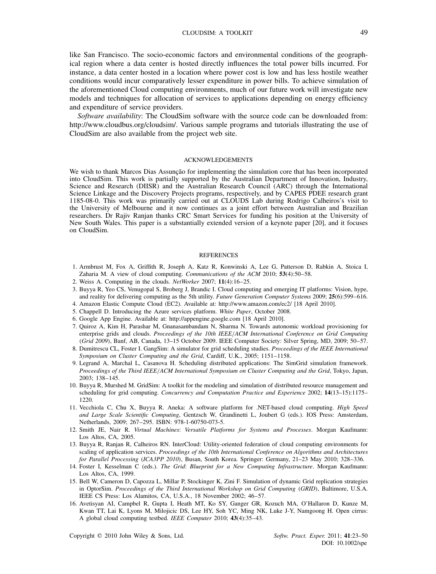like San Francisco. The socio-economic factors and environmental conditions of the geographical region where a data center is hosted directly influences the total power bills incurred. For instance, a data center hosted in a location where power cost is low and has less hostile weather conditions would incur comparatively lesser expenditure in power bills. To achieve simulation of the aforementioned Cloud computing environments, much of our future work will investigate new models and techniques for allocation of services to applications depending on energy efficiency and expenditure of service providers.

*Software availability*: The CloudSim software with the source code can be downloaded from: http://www.cloudbus.org/cloudsim/. Various sample programs and tutorials illustrating the use of CloudSim are also available from the project web site.

#### ACKNOWLEDGEMENTS

We wish to thank Marcos Dias Assunção for implementing the simulation core that has been incorporated into CloudSim. This work is partially supported by the Australian Department of Innovation, Industry, Science and Research (DIISR) and the Australian Research Council (ARC) through the International Science Linkage and the Discovery Projects programs, respectively, and by CAPES PDEE research grant 1185-08-0. This work was primarily carried out at CLOUDS Lab during Rodrigo Calheiros's visit to the University of Melbourne and it now continues as a joint effort between Australian and Brazilian researchers. Dr Rajiv Ranjan thanks CRC Smart Services for funding his position at the University of New South Wales. This paper is a substantially extended version of a keynote paper [20], and it focuses on CloudSim.

## **REFERENCES**

- 1. Armbrust M, Fox A, Griffith R, Joseph A, Katz R, Konwinski A, Lee G, Patterson D, Rabkin A, Stoica I, Zaharia M. A view of cloud computing. *Communications of the ACM* 2010; **53**(4):50–58.
- 2. Weiss A. Computing in the clouds. *NetWorker* 2007; **11**(4):16–25.
- 3. Buyya R, Yeo CS, Venugopal S, Broberg J, Brandic I. Cloud computing and emerging IT platforms: Vision, hype, and reality for delivering computing as the 5th utility. *Future Generation Computer Systems* 2009; **25**(6):599–616.
- 4. Amazon Elastic Compute Cloud (EC2). Available at: http://www.amazon.com/ec2/ [18 April 2010].
- 5. Chappell D. Introducing the Azure services platform. *White Paper*, October 2008.
- 6. Google App Engine. Available at: http://appengine.google.com [18 April 2010].
- 7. Quiroz A, Kim H, Parashar M, Gnanasambandam N, Sharma N. Towards autonomic workload provisioning for enterprise grids and clouds. *Proceedings of the 10th IEEE/ACM International Conference on Grid Computing (Grid 2009)*, Banf, AB, Canada, 13–15 October 2009. IEEE Computer Society: Silver Spring, MD, 2009; 50–57.
- 8. Dumitrescu CL, Foster I. GangSim: A simulator for grid scheduling studies. *Proceedings of the IEEE International Symposium on Cluster Computing and the Grid*, Cardiff, U.K., 2005; 1151–1158.
- 9. Legrand A, Marchal L, Casanova H. Scheduling distributed applications: The SimGrid simulation framework. *Proceedings of the Third IEEE/ACM International Symposium on Cluster Computing and the Grid*, Tokyo, Japan, 2003; 138–145.
- 10. Buyya R, Murshed M. GridSim: A toolkit for the modeling and simulation of distributed resource management and scheduling for grid computing. *Concurrency and Computation Practice and Experience* 2002; **14**(13–15):1175– 1220.
- 11. Vecchiola C, Chu X, Buyya R. Aneka: A software platform for .NET-based cloud computing. *High Speed and Large Scale Scientific Computing*, Gentzsch W, Grandinetti L, Joubert G (eds.). IOS Press: Amsterdam, Netherlands, 2009; 267–295. ISBN: 978-1-60750-073-5.
- 12. Smith JE, Nair R. *Virtual Machines*: *Versatile Platforms for Systems and Processes*. Morgan Kaufmann: Los Altos, CA, 2005.
- 13. Buyya R, Ranjan R, Calheiros RN. InterCloud: Utility-oriented federation of cloud computing environments for scaling of application services. *Proceedings of the 10th International Conference on Algorithms and Architectures for Parallel Processing (ICA3PP 2010)*, Busan, South Korea. Springer: Germany, 21–23 May 2010; 328–336.
- 14. Foster I, Kesselman C (eds.). *The Grid*: *Blueprint for a New Computing Infrastructure*. Morgan Kaufmann: Los Altos, CA, 1999.
- 15. Bell W, Cameron D, Capozza L, Millar P, Stockinger K, Zini F. Simulation of dynamic Grid replication strategies in OptorSim. *Proceedings of the Third International Workshop on Grid Computing (GRID)*, Baltimore, U.S.A. IEEE CS Press: Los Alamitos, CA, U.S.A., 18 November 2002; 46–57.
- 16. Avetisyan AI, Campbel R, Gupta I, Heath MT, Ko SY, Ganger GR, Kozuch MA, O'Hallaron D, Kunze M, Kwan TT, Lai K, Lyons M, Milojicic DS, Lee HY, Soh YC, Ming NK, Luke J-Y, Namgoong H. Open cirrus: A global cloud computing testbed. *IEEE Computer* 2010; **43**(4):35–43.